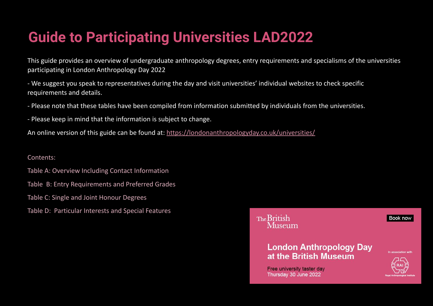## **Guide to Participating Universities LAD2022**

This guide provides an overview of undergraduate anthropology degrees, entry requirements and specialisms of the universities participating in London Anthropology Day 2022

- We suggest you speak to representatives during the day and visit universities' individual websites to check specific requirements and details.

- Please note that these tables have been compiled from information submitted by individuals from the universities.
- Please keep in mind that the information is subject to change.

An online version of this guide can be found at:<https://londonanthropologyday.co.uk/universities/>

Contents:

- Table A: Overview Including Contact Information
- Table B: Entry Requirements and Preferred Grades
- Table C: Single and Joint Honour Degrees
- Table D: Particular Interests and Special Features

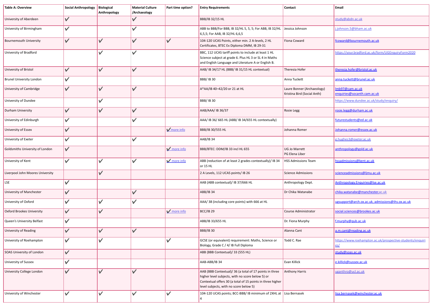| <b>Table A: Overview</b>         | <b>Social Anthropology</b> | Biological<br>Anthropology | <b>Material Culture</b><br>/Archaeology | Part time option?    | <b>Entry Requirements</b>                                                                                                                                                                                           | Contact                                                   | Email                                                            |
|----------------------------------|----------------------------|----------------------------|-----------------------------------------|----------------------|---------------------------------------------------------------------------------------------------------------------------------------------------------------------------------------------------------------------|-----------------------------------------------------------|------------------------------------------------------------------|
| University of Aberdeen           | $\checkmark$               |                            | $\checkmark$                            |                      | <b>BBB/IB 32/15 HL</b>                                                                                                                                                                                              |                                                           | study@abdn.ac.uk                                                 |
| University of Birmingham         | $\checkmark$               |                            | ✓                                       |                      | ABB to BBB/For BBB, IB 32/HL 5, 5, 5; For ABB, IB 32/HL<br>6,5,5; For AAB, IB 32/HL 6,6,5                                                                                                                           | Jessica Johnson                                           | i.johnson.5@bham.ac.uk                                           |
| <b>Bournemouth University</b>    | $\checkmark$               | $\checkmark$               | $\checkmark$                            | $\checkmark$         | 104-120 UCAS Points, either min. 2 A-levels, 2 HL<br>Certificates, BTEC Ex Diploma DMM, IB 29-31                                                                                                                    | Fiona Coward                                              | fcoward@bournemouth.ac.uk                                        |
| University of Bradford           |                            | V                          | $\checkmark$                            |                      | BBC, 112 UCAS tariff points to include at least 1 HL<br>Science subject at grade 6. Plus HL 3 or SL 4 in Maths<br>and English Language and Literature A or English B.                                               |                                                           | https://your.bradford.ac.uk/form/UGEnguiryForm2020               |
| University of Bristol            | $\checkmark$               | $\checkmark$               | $\checkmark$                            |                      | AAB/ IB 34/17 HL (BBB/ IB 31/15 HL contextual)                                                                                                                                                                      | Theresia Hofer                                            | theresia.hofer@bristol.ac.uk                                     |
| <b>Brunel University London</b>  | $\checkmark$               |                            |                                         |                      | <b>BBB/IB30</b>                                                                                                                                                                                                     | Anna Tuckett                                              | anna.tuckett@brunel.ac.uk                                        |
| University of Cambridge          | $\checkmark$               | V                          | ✓                                       |                      | A*AA/IB 40-42/20 or 21 at HL                                                                                                                                                                                        | Laure Bonner (Archaeology)<br>Kristina Bird (Social Anth) | mb97@cam.ac.uk<br>enquiries@socanth.cam.ac.uk                    |
| University of Dundee             |                            | ✓                          |                                         |                      | <b>BBB/IB30</b>                                                                                                                                                                                                     |                                                           | https://www.dundee.ac.uk/study/enquiry/                          |
| Durham University                | $\checkmark$               | V                          | $\checkmark$                            |                      | AAB/AAA/ IB 36/37                                                                                                                                                                                                   | Rosie Legg                                                | rosie.legg@durham.ac.uk                                          |
| University of Edinburgh          | $\checkmark$               |                            | $\checkmark$                            |                      | AAA/ IB 36/ 665 HL (ABB/ IB 34/655 HL contextually)                                                                                                                                                                 |                                                           | futurestudents@ed.ac.uk                                          |
| University of Essex              | $\checkmark$               |                            |                                         | $\sqrt{m}$ more info | BBB/IB 30/555 HL                                                                                                                                                                                                    | Johanna Romer                                             | Johanna.romer@essex.ac.uk                                        |
| University of Exeter             | $\checkmark$               |                            | ✓                                       |                      | AAB/IB 34                                                                                                                                                                                                           |                                                           | g.hughes3@exeter.ac.uk                                           |
| Goldsmiths University of London  | $\checkmark$               |                            |                                         | $\sqrt{m}$ more info | BBB/BTEC: DDM/IB 33 incl HL 655                                                                                                                                                                                     | <b>UG Jo Marrett</b><br><b>PG Elena Liber</b>             | anthropology@gold.ac.uk                                          |
| University of Kent               | $\checkmark$               | $\checkmark$               | $\checkmark$                            | $\sqrt{m}$ more info | ABB (reduction of at least 2 grades contextually)/ IB 34<br>or 15 HL                                                                                                                                                | <b>HSS Admissions Team</b>                                | hssadmissions@kent.ac.uk                                         |
| Liverpool John Moores University |                            | $\checkmark$               |                                         |                      | 2 A Levels, 112 UCAS points/ IB 26                                                                                                                                                                                  | Science Admissions                                        | scienceadmissions@limu.ac.uk                                     |
| LSE                              | $\checkmark$               |                            |                                         |                      | AAB (ABB contextual)/ IB 37/666 HL                                                                                                                                                                                  | Anthropology Dept.                                        | Anthropology.Enquiries@Ise.ac.uk                                 |
| University of Manchester         | $\checkmark$               |                            | $\checkmark$                            |                      | ABB/IB 34                                                                                                                                                                                                           | Dr Chika Watanabe                                         | chika.watanabe@manchester.ac.uk                                  |
| University of Oxford             | $\checkmark$               | $\checkmark$               | $\checkmark$                            |                      | AAA/ 38 (including core points) with 666 at HL                                                                                                                                                                      |                                                           | ugsupport@arch.ox.ac.uk, admissions@ihs.ox.ac.uk                 |
| Oxford Brookes University        | $\checkmark$               | $\checkmark$               |                                         | $\sqrt{m}$ more info | <b>BCC/IB 29</b>                                                                                                                                                                                                    | Course Administrator                                      | social.sciences@brookes.ac.uk                                    |
| Queen's University Belfast       | $\checkmark$               |                            |                                         |                      | ABB/IB 33/655 HL                                                                                                                                                                                                    | Dr. Fiona Murphy                                          | f.murphy@qub.ac.uk                                               |
| University of Reading            | $\checkmark$               | $\checkmark$               | ✓                                       |                      | <b>BBB/IB30</b>                                                                                                                                                                                                     | Alanna Cant                                               | a.m.cant@reading.ac.uk                                           |
| University of Roehampton         | $\checkmark$               | ✓                          |                                         | ✓                    | GCSE (or equivalent) requirement: Maths, Science or<br>Biology, Grade C / 4/ IB Full Diploma                                                                                                                        | Todd C. Rae                                               | https://www.roehampton.ac.uk/prospective-students/enquiri<br>es/ |
| SOAS University of London        | $\checkmark$               |                            |                                         |                      | ABB (BBB Contextual)/ 33 (555 HL)                                                                                                                                                                                   |                                                           | study@soas.ac.uk                                                 |
| University of Sussex             | $\checkmark$               |                            |                                         |                      | AAB-ABB/IB 34                                                                                                                                                                                                       | Evan Killick                                              | e.killick@sussex.ac.uk                                           |
| University College London        | $\checkmark$               | $\checkmark$               | $\checkmark$                            |                      | AAB (BBB Contextual)/ 36 (a total of 17 points in three<br>higher level subjects, with no score below 5) or<br>Contextual offers 30 (a total of 15 points in three higher<br>level subjects, with no score below 5) | <b>Anthony Harris</b>                                     | uganthro@ucl.ac.uk                                               |
| University of Winchester         | $\checkmark$               | $\checkmark$               | $\checkmark$                            | $\checkmark$         | 104-120 UCAS points; BCC-BBB/ IB minimum of 2XHL at Lisa Bernasek<br>4                                                                                                                                              |                                                           | lisa.bernasek@winchester.ac.uk                                   |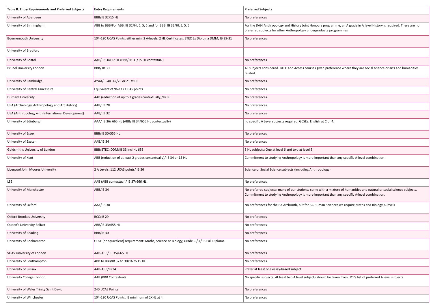| Table B: Entry Requirements and Preferred Subjects | <b>Entry Requirements</b>                                                                     | <b>Preferred Subjects</b>                                                                                                                                                                                             |  |
|----------------------------------------------------|-----------------------------------------------------------------------------------------------|-----------------------------------------------------------------------------------------------------------------------------------------------------------------------------------------------------------------------|--|
| University of Aberdeen                             | <b>BBB/IB 32/15 HL</b>                                                                        | No preferences                                                                                                                                                                                                        |  |
| University of Birmingham                           | ABB to BBB/For ABB, IB 32/HL 6, 5, 5 and for BBB, IB 32/HL 5, 5, 5                            | For the LV64 Anthropology and History Joint Honours programme, an A grade in A level History is required. There are no<br>preferred subjects for other Anthropology undergraduate programmes                          |  |
| <b>Bournemouth University</b>                      | 104-120 UCAS Points, either min. 2 A-levels, 2 HL Certificates, BTEC Ex Diploma DMM, IB 29-31 | No preferences                                                                                                                                                                                                        |  |
| University of Bradford                             |                                                                                               |                                                                                                                                                                                                                       |  |
| University of Bristol                              | AAB/ IB 34/17 HL (BBB/ IB 31/15 HL contextual)                                                | No preferences                                                                                                                                                                                                        |  |
| <b>Brunel University London</b>                    | <b>BBB/IB30</b>                                                                               | All subjects considered. BTEC and Access courses given preference where they are social science or arts and humanities<br>related.                                                                                    |  |
| University of Cambridge                            | A*AA/IB 40-42/20 or 21 at HL                                                                  | No preferences                                                                                                                                                                                                        |  |
| University of Central Lancashire                   | Equivalent of 96-112 UCAS points                                                              | No preferences                                                                                                                                                                                                        |  |
| Durham University                                  | AAB (reduction of up to 2 grades contextually)/IB 36                                          | No preferences                                                                                                                                                                                                        |  |
| UEA (Archeology, Anthropology and Art History)     | AAB/ IB 28                                                                                    | No preferences                                                                                                                                                                                                        |  |
| UEA (Anthropology with International Development)  | AAB/ IB 32                                                                                    | No preferences                                                                                                                                                                                                        |  |
| University of Edinburgh                            | AAA/ IB 36/ 665 HL (ABB/ IB 34/655 HL contextually)                                           | no specific A Level subjects required. GCSEs: English at C or 4.                                                                                                                                                      |  |
| University of Essex                                | BBB/IB 30/555 HL                                                                              | No preferences                                                                                                                                                                                                        |  |
| University of Exeter                               | AAB/IB 34                                                                                     | No preferences                                                                                                                                                                                                        |  |
| Goldsmiths University of London                    | BBB/BTEC: DDM/IB 33 incl HL 655                                                               | 3 HL subjects: One at level 6 and two at level 5                                                                                                                                                                      |  |
| University of Kent                                 | ABB (reduction of at least 2 grades contextually)/ IB 34 or 15 HL                             | Commitment to studying Anthropology is more important than any specific A-level combination                                                                                                                           |  |
| Liverpool John Moores University                   | 2 A Levels, 112 UCAS points/ IB 26                                                            | Science or Social Science subjects (including Anthropology)                                                                                                                                                           |  |
| LSE                                                | AAB (ABB contextual)/ IB 37/666 HL                                                            | No preferences                                                                                                                                                                                                        |  |
| University of Manchester                           | ABB/IB 34                                                                                     | No preferred subjects; many of our students come with a mixture of humanities and natural or social science subjects.<br>Commitment to studying Anthropology is more important than any specific A-level combination. |  |
| University of Oxford                               | AAA/ IB 38                                                                                    | No preferences for the BA ArchAnth, but for BA Human Sciences we require Maths and Biology A-levels                                                                                                                   |  |
| Oxford Brookes University                          | <b>BCC/IB 29</b>                                                                              | No preferences                                                                                                                                                                                                        |  |
| Queen's University Belfast                         | ABB/IB 33/655 HL                                                                              | No preferences                                                                                                                                                                                                        |  |
| University of Reading                              | <b>BBB/IB 30</b>                                                                              | No preferences                                                                                                                                                                                                        |  |
| University of Roehampton                           | GCSE (or equivalent) requirement: Maths, Science or Biology, Grade C / 4/ IB Full Diploma     | No preferences                                                                                                                                                                                                        |  |
| SOAS University of London                          | AAB-ABB/ IB 35/665 HL                                                                         | No preferences                                                                                                                                                                                                        |  |
| University of Southampton                          | ABB to BBB/IB 32 to 30/16 to 15 HL                                                            | No preferences                                                                                                                                                                                                        |  |
| University of Sussex                               | AAB-ABB/IB 34                                                                                 | Prefer at least one essay-based subject                                                                                                                                                                               |  |
| University College London                          | AAB (BBB Contextual)                                                                          | No specific subjects. At least two A level subjects should be taken from UCL's list of preferred A level subjects.                                                                                                    |  |
| University of Wales Trinity Saint David            | 240 UCAS Points                                                                               | No preferences                                                                                                                                                                                                        |  |
| University of Winchester                           | 104-120 UCAS Points, IB minimum of 2XHL at 4                                                  | No preferences                                                                                                                                                                                                        |  |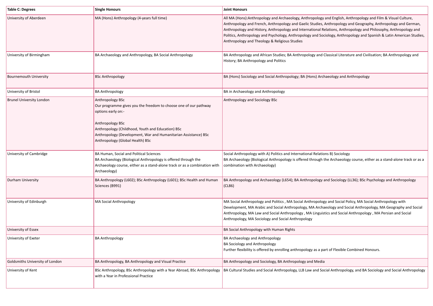| <b>Table C: Degrees</b>         | <b>Single Honours</b>                                                                                                                                                                                                                                                                      | <b>Joint Honours</b>                                                                                                                                                                                                                                                                                                                                                                                                                                                                                                            |
|---------------------------------|--------------------------------------------------------------------------------------------------------------------------------------------------------------------------------------------------------------------------------------------------------------------------------------------|---------------------------------------------------------------------------------------------------------------------------------------------------------------------------------------------------------------------------------------------------------------------------------------------------------------------------------------------------------------------------------------------------------------------------------------------------------------------------------------------------------------------------------|
| University of Aberdeen          | MA (Hons) Anthropology (4-years full time)                                                                                                                                                                                                                                                 | All MA (Hons): Anthropology and Archaeology, Anthropology and English, Anthropology and Film & Visual Culture,<br>Anthropology and French, Anthropology and Gaelic Studies, Anthropology and Geography, Anthropology and German,<br>Anthropology and History, Anthropology and International Relations, Anthropology and Philosophy, Anthropology and<br>Politics, Anthropology and Psychology, Anthropology and Sociology, Anthropology and Spanish & Latin American Studies,<br>Anthropology and Theology & Religious Studies |
| University of Birmingham        | BA Archaeology and Anthropology, BA Social Anthropology                                                                                                                                                                                                                                    | BA Anthropology and African Studies; BA Anthropology and Classical Literature and Civilisation; BA Anthropology and<br>History; BA Anthropology and Politics                                                                                                                                                                                                                                                                                                                                                                    |
| <b>Bournemouth University</b>   | <b>BSc Anthropology</b>                                                                                                                                                                                                                                                                    | BA (Hons) Sociology and Social Anthropology; BA (Hons) Archaeology and Anthropology                                                                                                                                                                                                                                                                                                                                                                                                                                             |
| University of Bristol           | <b>BA Anthropology</b>                                                                                                                                                                                                                                                                     | BA in Archaeology and Anthropology                                                                                                                                                                                                                                                                                                                                                                                                                                                                                              |
| <b>Brunel University London</b> | Anthropology BSc<br>Our programme gives you the freedom to choose one of our pathway<br>options early on:-<br>Anthropology BSc<br>Anthropology (Childhood, Youth and Education) BSc<br>Anthropology (Development, War and Humanitarian Assistance) BSc<br>Anthropology (Global Health) BSc | Anthropology and Sociology BSc                                                                                                                                                                                                                                                                                                                                                                                                                                                                                                  |
| University of Cambridge         | BA Human, Social and Political Sciences<br>BA Archaeology (Biological Anthropology is offered through the<br>Archaeology course, either as a stand-alone track or as a combination with<br>Archaeology)                                                                                    | Social Anthropology with A) Politics and International Relations B) Sociology<br>BA Archaeology (Biological Anthropology is offered through the Archaeology course, either as a stand-alone track or as a<br>combination with Archaeology)                                                                                                                                                                                                                                                                                      |
| Durham University               | BA Anthropology (L602); BSc Anthropology (L601); BSc Health and Human<br>Sciences (B991)                                                                                                                                                                                                   | BA Anthropology and Archaeology (L654); BA Anthropology and Sociology (LL36); BSc Psychology and Anthropology<br>(CL86)                                                                                                                                                                                                                                                                                                                                                                                                         |
| University of Edinburgh         | MA Social Anthropology                                                                                                                                                                                                                                                                     | MA Social Anthropology and Politics, MA Social Anthropology and Social Policy, MA Social Anthropology with<br>Development, MA Arabic and Social Anthropology, MA Archaeology and Social Anthropology, MA Geography and Social<br>Anthropology, MA Law and Social Anthropology, MA Linguistics and Social Anthropology, MA Persian and Social<br>Anthropology, MA Sociology and Social Anthropology                                                                                                                              |
| University of Essex             |                                                                                                                                                                                                                                                                                            | BA Social Anthropology with Human Rights                                                                                                                                                                                                                                                                                                                                                                                                                                                                                        |
| University of Exeter            | <b>BA Anthropology</b>                                                                                                                                                                                                                                                                     | BA Archaeology and Anthropology<br>BA Sociology and Anthropology<br>Further flexibility is offered by enrolling anthropology as a part of Flexible Combined Honours.                                                                                                                                                                                                                                                                                                                                                            |
| Goldsmiths University of London | BA Anthropology, BA Anthropology and Visual Practice                                                                                                                                                                                                                                       | BA Anthropology and Sociology, BA Anthropology and Media                                                                                                                                                                                                                                                                                                                                                                                                                                                                        |
| University of Kent              | BSc Anthropology, BSc Anthropology with a Year Abroad, BSc Anthropology<br>with a Year in Professional Practice                                                                                                                                                                            | BA Cultural Studies and Social Anthropology, LLB Law and Social Anthropology, and BA Sociology and Social Anthropology                                                                                                                                                                                                                                                                                                                                                                                                          |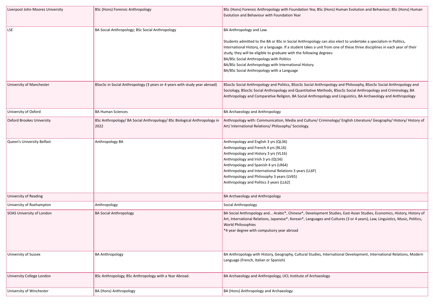| Liverpool John Moores University | <b>BSc (Hons) Forensic Anthropology</b>                                          | BSc (Hons) Forensic Anthropology with Foundation Yea; BSc (Hons) Human Evolution and Behaviour; BSc (Hons) Human<br>Evolution and Behaviour with Foundation Year                                                                                                                                                                                                                                                                                                                                    |
|----------------------------------|----------------------------------------------------------------------------------|-----------------------------------------------------------------------------------------------------------------------------------------------------------------------------------------------------------------------------------------------------------------------------------------------------------------------------------------------------------------------------------------------------------------------------------------------------------------------------------------------------|
| LSE                              | BA Social Anthropology; BSc Social Anthropology                                  | BA Anthropology and Law.<br>Students admitted to the BA or BSc in Social Anthropology can also elect to undertake a specialism in Politics,<br>International History, or a language. If a student takes a unit from one of these three disciplines in each year of their<br>study, they will be eligible to graduate with the following degrees:<br>BA/BSc Social Anthropology with Politics<br>BA/BSc Social Anthropology with International History<br>BA/BSc Social Anthropology with a Language |
| University of Manchester         | BSocSc in Social Anthropology (3 years or 4 years with study year abroad)        | BSocSc Social Anthropology and Politics, BSocSc Social Anthropology and Philosophy, BSocSc Social Anthropology and<br>Sociology, BSocSc Social Anthropology and Quantitative Methods, BSocSc Social Anthropology and Criminology, BA<br>Anthropology and Comparative Religion, BA Social Anthropology and Linguistics, BA Archaeology and Anthropology                                                                                                                                              |
| University of Oxford             | <b>BA Human Sciences</b>                                                         | <b>BA Archaeology and Anthropology</b>                                                                                                                                                                                                                                                                                                                                                                                                                                                              |
| <b>Oxford Brookes University</b> | BSc Anthropology/ BA Social Anthropology/ BSc Biological Anthropology in<br>2022 | Anthropology with: Communication, Media and Culture/ Criminology/ English Literature/ Geography/ History/ History of<br>Art/ International Relations/ Philosophy/ Sociology.                                                                                                                                                                                                                                                                                                                        |
| Queen's University Belfast       | Anthropology BA                                                                  | Anthropology and English 3 yrs (QL36)<br>Anthropology and French 4 yrs (RL16)<br>Anthropology and History 3 yrs (VL16)<br>Anthropology and Irish 3 yrs (QL56)<br>Anthropology and Spanish 4 yrs (LR64)<br>Anthropology and International Relations 3 years (LL6F)<br>Anthropology and Philosophy 3 years (LV65)<br>Anthropology and Politics 3 years (LL62)                                                                                                                                         |
| University of Reading            |                                                                                  | BA Archaeology and Anthropology                                                                                                                                                                                                                                                                                                                                                                                                                                                                     |
| University of Roehampton         | Anthropology                                                                     | Social Anthropology                                                                                                                                                                                                                                                                                                                                                                                                                                                                                 |
| SOAS University of London        | <b>BA Social Anthropology</b>                                                    | BA Social Anthropology and Arabic*, Chinese*, Development Studies, East Asian Studies, Economics, History, History of<br>Art, International Relations, Japanese*, Korean*, Languages and Cultures (3 or 4 years), Law, Linguistics, Music, Politics,<br>World Philosophies<br>*4 year degree with compulsory year abroad                                                                                                                                                                            |
| University of Sussex             | <b>BA Anthropology</b>                                                           | BA Anthropology with History, Geography, Cultural Studies, International Development, International Relations, Modern<br>Language (French, Italian or Spanish)                                                                                                                                                                                                                                                                                                                                      |
| <b>University College London</b> | BSc Anthropology, BSc Anthropology with a Year Abroad.                           | BA Archaeology and Anthropology, UCL Institute of Archaeology                                                                                                                                                                                                                                                                                                                                                                                                                                       |
| University of Winchester         | <b>BA (Hons) Anthropology</b>                                                    | BA (Hons) Anthropology and Archaeology                                                                                                                                                                                                                                                                                                                                                                                                                                                              |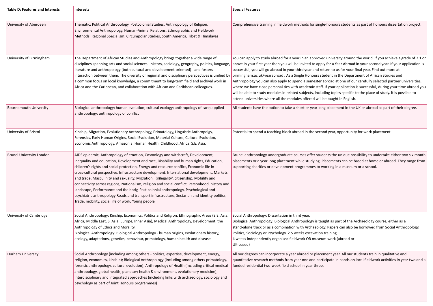| <b>Table D: Features and Interests</b> | Interests                                                                                                                                                                                                                                                                                                                                                                                                                                                                                                                                                                                                                                                                                                                                                                                                        | <b>Special Features</b>                                                                                                                                                                                                                                                                                                                                                                                                                                                                                                                                                                                                                                                                                                                                                                                                                                                                                                                                                                                                      |
|----------------------------------------|------------------------------------------------------------------------------------------------------------------------------------------------------------------------------------------------------------------------------------------------------------------------------------------------------------------------------------------------------------------------------------------------------------------------------------------------------------------------------------------------------------------------------------------------------------------------------------------------------------------------------------------------------------------------------------------------------------------------------------------------------------------------------------------------------------------|------------------------------------------------------------------------------------------------------------------------------------------------------------------------------------------------------------------------------------------------------------------------------------------------------------------------------------------------------------------------------------------------------------------------------------------------------------------------------------------------------------------------------------------------------------------------------------------------------------------------------------------------------------------------------------------------------------------------------------------------------------------------------------------------------------------------------------------------------------------------------------------------------------------------------------------------------------------------------------------------------------------------------|
| University of Aberdeen                 | Thematic: Political Anthropology, Postcolonial Studies, Anthropology of Religion,<br>Environmental Anthropology, Human-Animal Relations, Ethnographic and Fieldwork<br>Methods. Regional Specialism: Circumpolar Studies, South America, Tibet & Himalayas                                                                                                                                                                                                                                                                                                                                                                                                                                                                                                                                                       | Comprehensive training in fieldwork methods for single-honours students as part of honours dissertation project.                                                                                                                                                                                                                                                                                                                                                                                                                                                                                                                                                                                                                                                                                                                                                                                                                                                                                                             |
| University of Birmingham               | The Department of African Studies and Anthropology brings together a wide range of<br>disciplines spanning arts and social sciences - history, sociology, geography, politics, language,<br>literature and anthropology (both cultural and development-oriented) - and fosters<br>a common focus on local knowledge, a commitment to long-term field and archival work in<br>Africa and the Caribbean, and collaboration with African and Caribbean colleagues.                                                                                                                                                                                                                                                                                                                                                  | You can apply to study abroad for a year in an approved university around the world. If you achieve a grade of 2.1 or<br>above in your first year then you will be invited to apply for a Year Abroad in your second year. If your application is<br>successful, you will go abroad in your third year and return to us for your final year. Find out more at<br>interaction between them. The diversity of regional and disciplinary perspectives is unified by   birmingham.ac.uk/yearabroad . As a Single Honours student in the Department of African Studies and<br>Anthropology you can also apply to spend a semester abroad at one of our carefully selected partner universities,<br>where we have close personal ties with academic staff. If your application is successful, during your time abroad you<br>will be able to study modules in related subjects, including topics specific to the place of study. It is possible to<br>attend universities where all the modules offered will be taught in English. |
| <b>Bournemouth University</b>          | Biological anthropology; human evolution; cultural ecology; anthropology of care; applied<br>anthropology; anthropology of conflict                                                                                                                                                                                                                                                                                                                                                                                                                                                                                                                                                                                                                                                                              | All students have the option to take a short or year-long placement in the UK or abroad as part of their degree.                                                                                                                                                                                                                                                                                                                                                                                                                                                                                                                                                                                                                                                                                                                                                                                                                                                                                                             |
| University of Bristol                  | Kinship, Migration, Evolutionary Anthropology, Primatology, Linguistic Anthropolgy,<br>Forensics, Early Human Origins, Social Evolution, Material Culture, Cultural Evolution,<br>Economic Anthropology, Amazonia, Human Health, Childhood, Africa, S.E. Asia.                                                                                                                                                                                                                                                                                                                                                                                                                                                                                                                                                   | Potential to spend a teaching block abroad in the second year, opportunity for work placement                                                                                                                                                                                                                                                                                                                                                                                                                                                                                                                                                                                                                                                                                                                                                                                                                                                                                                                                |
| <b>Brunel University London</b>        | AIDS epidemic, Anthropology of emotion, Cosmology and witchcraft, Development,<br>inequality and education, Development and race, Disability and human rights, Education,<br>children's rights and social protection, Energy and resource conflict, Economic life in<br>cross-cultural perspective, Infrastructure development, International development, Markets<br>and trade, Masculinity and sexuality, Migration, '(il)legality', citizenship, Mobility and<br>connectivity across regions, Nationalism, religion and social conflict, Personhood, history and<br>landscape, Performance and the body, Post-colonial anthropology, Psychological and<br>psychiatric anthropology Roads and transport infrastructure, Sectarian and identity politics,<br>Trade, mobility, social life of work, Young people | Brunel anthropology undergraduate courses offer students the unique possibility to undertake either two six-month<br>placements or a year-long placement while studying. Placements can be based at home or abroad. They range from<br>supporting charities or development programmes to working in a museum or a school.                                                                                                                                                                                                                                                                                                                                                                                                                                                                                                                                                                                                                                                                                                    |
| University of Cambridge                | Social Anthropology: Kinship, Economics, Politics and Religion, Ethnographic Areas (S.E. Asia,<br>Africa, Middle East, S. Asia, Europe, Inner Asia), Medical Anthropology, Development, the<br>Anthropology of Ethics and Morality.<br>Biological Anthropology: Biological Anthropology - human origins, evolutionary history,<br>ecology, adaptations, genetics, behaviour, primatology, human health and disease                                                                                                                                                                                                                                                                                                                                                                                               | Social Anthropology: Dissertation in third year.<br>Biological Anthropology: Biological Anthropology is taught as part of the Archaeology course, either as a<br>stand-alone track or as a combination with Archaeology. Papers can also be borrowed from Social Anthropology,<br>Politics, Sociology or Psychology. 2.5 weeks excavation training<br>4 weeks independently organised fieldwork OR museum work (abroad or<br>UK-based)                                                                                                                                                                                                                                                                                                                                                                                                                                                                                                                                                                                       |
| <b>Durham University</b>               | Social Anthropology (including among others - politics, expertise, development, energy,<br>religion, economics, kinship); Biological Anthropology (including among others primatology,<br>forensic anthropology, cultural evolution); Anthropology of Health (including critical medical<br>anthropology, global health, planetary health & environment, evolutionary medicine);<br>Interdisciplinary and integrated approaches (including links with archaeology, sociology and<br>psychology as part of Joint Honours programmes)                                                                                                                                                                                                                                                                              | All our degrees can incorporate a year abroad or placement year. All our students train in qualitative and<br>quantitative research methods from year one and participate in hands on local fieldwork activities in year two and a<br>funded residential two-week field school in year three.                                                                                                                                                                                                                                                                                                                                                                                                                                                                                                                                                                                                                                                                                                                                |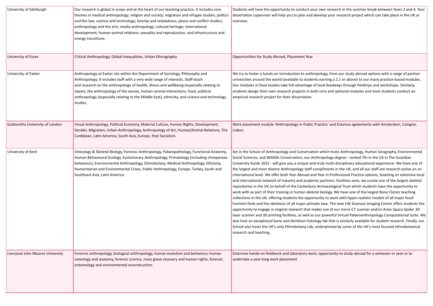| University of Edinburgh          | Our research is global in scope and at the heart of our teaching practice. It includes core<br>themes in medical anthropology; religion and society; migration and refugee studies; politics<br>and the law; science and technology; kinship and relatedness; peace and conflict studies;<br>anthropology and the arts; media anthropology; cultural heritage; international<br>development; human-animal relations; sexuality and reproduction; and infrastructure and<br>energy transitions. | Students will have the opportunity to conduct your own research in the summer break between Years 3 and 4. Your<br>dissertation supervisor will help you to plan and develop your research project which can take place in the UK or<br>overseas.                                                                                                                                                                                                                                                                                                                                                                                                                                                                                                                                                                                                                                                                                                                                                                                                                                                                                                                                                                                                                                                                                                                                                                                                                                                                                                                                                                                                                                                                    |
|----------------------------------|------------------------------------------------------------------------------------------------------------------------------------------------------------------------------------------------------------------------------------------------------------------------------------------------------------------------------------------------------------------------------------------------------------------------------------------------------------------------------------------------|----------------------------------------------------------------------------------------------------------------------------------------------------------------------------------------------------------------------------------------------------------------------------------------------------------------------------------------------------------------------------------------------------------------------------------------------------------------------------------------------------------------------------------------------------------------------------------------------------------------------------------------------------------------------------------------------------------------------------------------------------------------------------------------------------------------------------------------------------------------------------------------------------------------------------------------------------------------------------------------------------------------------------------------------------------------------------------------------------------------------------------------------------------------------------------------------------------------------------------------------------------------------------------------------------------------------------------------------------------------------------------------------------------------------------------------------------------------------------------------------------------------------------------------------------------------------------------------------------------------------------------------------------------------------------------------------------------------------|
| University of Essex              | Critical Anthropology, Global Inequalities, Urban Ethnography                                                                                                                                                                                                                                                                                                                                                                                                                                  | Opportunities for Study Abroad, Placement Year                                                                                                                                                                                                                                                                                                                                                                                                                                                                                                                                                                                                                                                                                                                                                                                                                                                                                                                                                                                                                                                                                                                                                                                                                                                                                                                                                                                                                                                                                                                                                                                                                                                                       |
| University of Exeter             | Anthropology at Exeter sits within the Department of Sociology, Philosophy and<br>Anthropology. It includes staff with a very wide range of interests. Staff teach<br>and research on the anthropology of health, illness and wellbeing (especially relating to<br>Japan), the anthropology of the senses, human-animal interactions, food, political<br>anthropology (especially relating to the Middle East), ethnicity, and science and technology<br>studies.                              | We try to foster a hands-on introduction to anthropology, from our study abroad options with a range of partner<br>universities around the world (available to students earning a 2.1 or above) to our many practice-based modules.<br>Our modules in food studies take full advantage of local foodways through fieldtrips and workshops. Similarly,<br>students design their own research projects in both core and optional modules and most students conduct an<br>empirical research project for their dissertation.                                                                                                                                                                                                                                                                                                                                                                                                                                                                                                                                                                                                                                                                                                                                                                                                                                                                                                                                                                                                                                                                                                                                                                                            |
| Goldsmiths University of London  | Visual Anthropology, Political Economy, Material Culture, Human Rights, Development,<br>Gender, Migration, Urban Anthropology, Anthropology of Art, Human/Animal Relations, The<br>Caribbean, Latin America, South Asia, Europe, Post Socialism.                                                                                                                                                                                                                                               | Work placement module 'Anthropology in Public Practice' and Erasmus agreements with Amsterdam, Cologne,<br>Lisbon.                                                                                                                                                                                                                                                                                                                                                                                                                                                                                                                                                                                                                                                                                                                                                                                                                                                                                                                                                                                                                                                                                                                                                                                                                                                                                                                                                                                                                                                                                                                                                                                                   |
| University of Kent               | Osteology & Skeletal Biology, Forensic Anthropology, Palaeopathology, Functional Anatomy,<br>Human Behavioural Ecology, Evolutionary Anthropology, Primatology (including chimpanzee<br>behaviour), Environmental Anthropology, Ethnobotany, Medical Anthropology, Ethnicity,<br>Humanitarian and Environmental Crises, Public Anthropology, Europe, Turkey, South and<br>Southeast Asia, Latin America.                                                                                       | Set in the School of Anthropology and Conservation which hosts Anthropology, Human Geography, Environmental<br>Social Sciences, and Wildlife Conservation, our Anthropology degree - ranked 7th in the UK in The Guardian<br>University Guide 2022 - will give you a unique and truly multi-disciplinary educational experience. We have one of<br>the largest and most diverse Anthropology staff compliments in the UK, and all our staff are research-active on an<br>international level. We offer both Year Abroad and Year in Professional Practice options, boasting an extensive local<br>and international network of industry and academic partners. Facilities-wise, we curate one of the largest skeletal<br>repositories in the UK on behalf of the Canterbury Archaeological Trust which students have the opportunity to<br>work with as part of their training in human skeletal biology. We have one of the largest Bone Clones teaching<br>collections in the UK, offering students the opportunity to work with hyper-realistic models of all major fossil<br>hominin finds and the skeletons of all major primate taxa. The new Life Sciences Imaging Centre offers students the<br>opportunity to engage in original research that makes use of our micro-CT scanner and/or Artec Space Spider 3D<br>laser scanner and 3D printing facilities, as well as our powerful Virtual Palaeoanthropology Computational Suite. We<br>also host an exceptional bone and dentition histology lab that is similarly available for student research. Finally, our<br>School also hosts the UK's only Ethnobotany Lab, underpinned by some of the UK's most focused ethnobotanical<br>research and teaching. |
| Liverpool John Moores University | Forensic anthropology, biological anthropology, human evolution and behaviour, human<br>osteology and anatomy, forensic science, mass grave recovery and human rights, forensic<br>entomology and environmental reconstruction                                                                                                                                                                                                                                                                 | Extensive hands-on fieldwork and laboratory work, opportunity to study abroad for a semester or year or to<br>undertake a year-long work placement                                                                                                                                                                                                                                                                                                                                                                                                                                                                                                                                                                                                                                                                                                                                                                                                                                                                                                                                                                                                                                                                                                                                                                                                                                                                                                                                                                                                                                                                                                                                                                   |